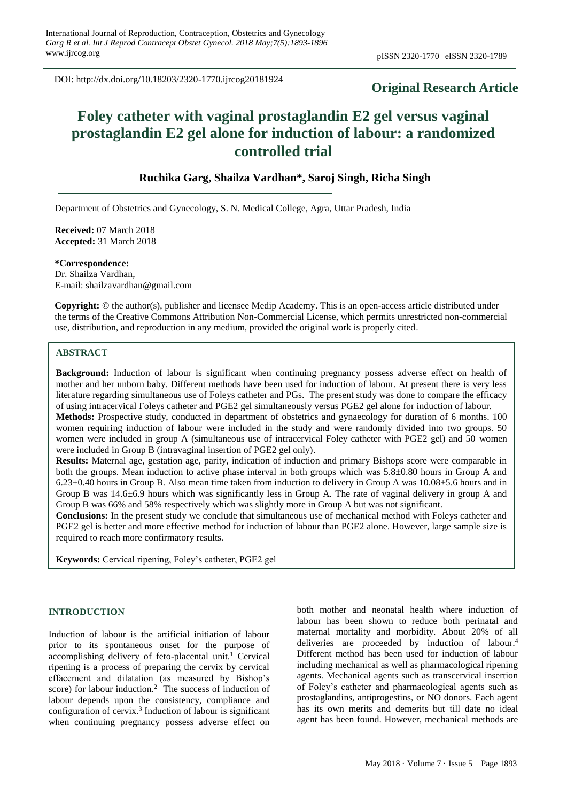DOI: http://dx.doi.org/10.18203/2320-1770.ijrcog20181924

# **Original Research Article**

# **Foley catheter with vaginal prostaglandin E2 gel versus vaginal prostaglandin E2 gel alone for induction of labour: a randomized controlled trial**

# **Ruchika Garg, Shailza Vardhan\*, Saroj Singh, Richa Singh**

Department of Obstetrics and Gynecology, S. N. Medical College, Agra, Uttar Pradesh, India

**Received:** 07 March 2018 **Accepted:** 31 March 2018

**\*Correspondence:** Dr. Shailza Vardhan, E-mail: shailzavardhan@gmail.com

**Copyright:** © the author(s), publisher and licensee Medip Academy. This is an open-access article distributed under the terms of the Creative Commons Attribution Non-Commercial License, which permits unrestricted non-commercial use, distribution, and reproduction in any medium, provided the original work is properly cited.

# **ABSTRACT**

**Background:** Induction of labour is significant when continuing pregnancy possess adverse effect on health of mother and her unborn baby. Different methods have been used for induction of labour. At present there is very less literature regarding simultaneous use of Foleys catheter and PGs. The present study was done to compare the efficacy of using intracervical Foleys catheter and PGE2 gel simultaneously versus PGE2 gel alone for induction of labour. **Methods:** Prospective study, conducted in department of obstetrics and gynaecology for duration of 6 months. 100 women requiring induction of labour were included in the study and were randomly divided into two groups. 50 women were included in group A (simultaneous use of intracervical Foley catheter with PGE2 gel) and 50 women were included in Group B (intravaginal insertion of PGE2 gel only).

**Results:** Maternal age, gestation age, parity, indication of induction and primary Bishops score were comparable in both the groups. Mean induction to active phase interval in both groups which was 5.8±0.80 hours in Group A and 6.23±0.40 hours in Group B. Also mean time taken from induction to delivery in Group A was 10.08±5.6 hours and in Group B was 14.6±6.9 hours which was significantly less in Group A. The rate of vaginal delivery in group A and Group B was 66% and 58% respectively which was slightly more in Group A but was not significant.

**Conclusions:** In the present study we conclude that simultaneous use of mechanical method with Foleys catheter and PGE2 gel is better and more effective method for induction of labour than PGE2 alone. However, large sample size is required to reach more confirmatory results.

**Keywords:** Cervical ripening, Foley's catheter, PGE2 gel

#### **INTRODUCTION**

Induction of labour is the artificial initiation of labour prior to its spontaneous onset for the purpose of accomplishing delivery of feto-placental unit. <sup>1</sup> Cervical ripening is a process of preparing the cervix by cervical effacement and dilatation (as measured by Bishop's score) for labour induction.<sup>2</sup> The success of induction of labour depends upon the consistency, compliance and configuration of cervix.<sup>3</sup> Induction of labour is significant when continuing pregnancy possess adverse effect on both mother and neonatal health where induction of labour has been shown to reduce both perinatal and maternal mortality and morbidity. About 20% of all deliveries are proceeded by induction of labour. 4 Different method has been used for induction of labour including mechanical as well as pharmacological ripening agents. Mechanical agents such as transcervical insertion of Foley's catheter and pharmacological agents such as prostaglandins, antiprogestins, or NO donors. Each agent has its own merits and demerits but till date no ideal agent has been found. However, mechanical methods are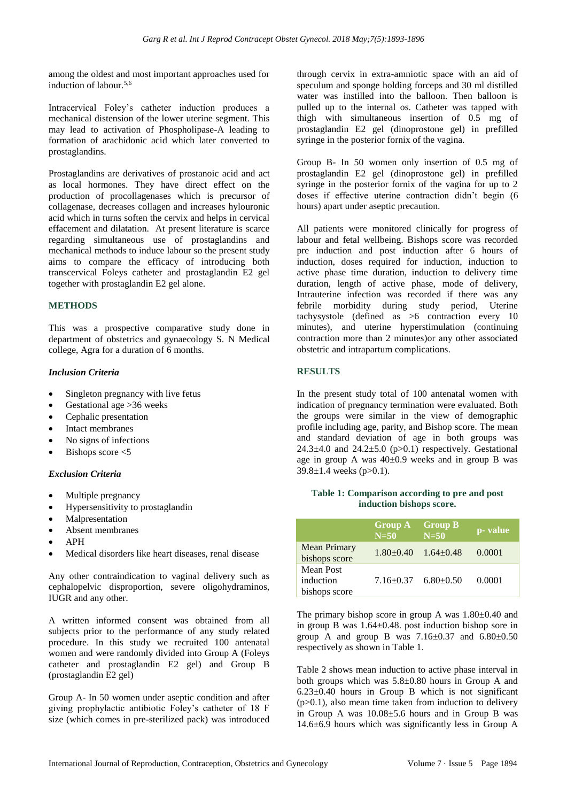among the oldest and most important approaches used for induction of labour.<sup>5,6</sup>

Intracervical Foley's catheter induction produces a mechanical distension of the lower uterine segment. This may lead to activation of Phospholipase-A leading to formation of arachidonic acid which later converted to prostaglandins.

Prostaglandins are derivatives of prostanoic acid and act as local hormones. They have direct effect on the production of procollagenases which is precursor of collagenase, decreases collagen and increases hylouronic acid which in turns soften the cervix and helps in cervical effacement and dilatation. At present literature is scarce regarding simultaneous use of prostaglandins and mechanical methods to induce labour so the present study aims to compare the efficacy of introducing both transcervical Foleys catheter and prostaglandin E2 gel together with prostaglandin E2 gel alone.

# **METHODS**

This was a prospective comparative study done in department of obstetrics and gynaecology S. N Medical college, Agra for a duration of 6 months.

# *Inclusion Criteria*

- Singleton pregnancy with live fetus
- Gestational age >36 weeks
- Cephalic presentation
- Intact membranes
- No signs of infections
- Bishops score  $<$ 5

# *Exclusion Criteria*

- Multiple pregnancy
- Hypersensitivity to prostaglandin
- **Malpresentation**
- Absent membranes
- APH
- Medical disorders like heart diseases, renal disease

Any other contraindication to vaginal delivery such as cephalopelvic disproportion, severe oligohydraminos, IUGR and any other.

A written informed consent was obtained from all subjects prior to the performance of any study related procedure. In this study we recruited 100 antenatal women and were randomly divided into Group A (Foleys catheter and prostaglandin E2 gel) and Group B (prostaglandin E2 gel)

Group A- In 50 women under aseptic condition and after giving prophylactic antibiotic Foley's catheter of 18 F size (which comes in pre-sterilized pack) was introduced through cervix in extra-amniotic space with an aid of speculum and sponge holding forceps and 30 ml distilled water was instilled into the balloon. Then balloon is pulled up to the internal os. Catheter was tapped with thigh with simultaneous insertion of 0.5 mg of prostaglandin E2 gel (dinoprostone gel) in prefilled syringe in the posterior fornix of the vagina.

Group B- In 50 women only insertion of 0.5 mg of prostaglandin E2 gel (dinoprostone gel) in prefilled syringe in the posterior fornix of the vagina for up to 2 doses if effective uterine contraction didn't begin (6 hours) apart under aseptic precaution.

All patients were monitored clinically for progress of labour and fetal wellbeing. Bishops score was recorded pre induction and post induction after 6 hours of induction, doses required for induction, induction to active phase time duration, induction to delivery time duration, length of active phase, mode of delivery, Intrauterine infection was recorded if there was any febrile morbidity during study period, Uterine tachysystole (defined as >6 contraction every 10 minutes), and uterine hyperstimulation (continuing contraction more than 2 minutes)or any other associated obstetric and intrapartum complications.

# **RESULTS**

In the present study total of 100 antenatal women with indication of pregnancy termination were evaluated. Both the groups were similar in the view of demographic profile including age, parity, and Bishop score. The mean and standard deviation of age in both groups was 24.3 $\pm$ 4.0 and 24.2 $\pm$ 5.0 (p $>$ 0.1) respectively. Gestational age in group A was  $40\pm0.9$  weeks and in group B was  $39.8 \pm 1.4$  weeks (p $> 0.1$ ).

#### **Table 1: Comparison according to pre and post induction bishops score.**

|                                         | Group A Group B<br>$N=50$       | $N=50$                          | p-value |
|-----------------------------------------|---------------------------------|---------------------------------|---------|
| <b>Mean Primary</b><br>bishops score    |                                 | $1.80 \pm 0.40$ $1.64 \pm 0.48$ | 0.0001  |
| Mean Post<br>induction<br>bishops score | $7.16 \pm 0.37$ $6.80 \pm 0.50$ |                                 | 0.0001  |

The primary bishop score in group A was  $1.80\pm0.40$  and in group B was 1.64±0.48. post induction bishop sore in group A and group B was  $7.16 \pm 0.37$  and  $6.80 \pm 0.50$ respectively as shown in Table 1.

Table 2 shows mean induction to active phase interval in both groups which was 5.8±0.80 hours in Group A and  $6.23 \pm 0.40$  hours in Group B which is not significant  $(p>0.1)$ , also mean time taken from induction to delivery in Group A was 10.08±5.6 hours and in Group B was 14.6±6.9 hours which was significantly less in Group A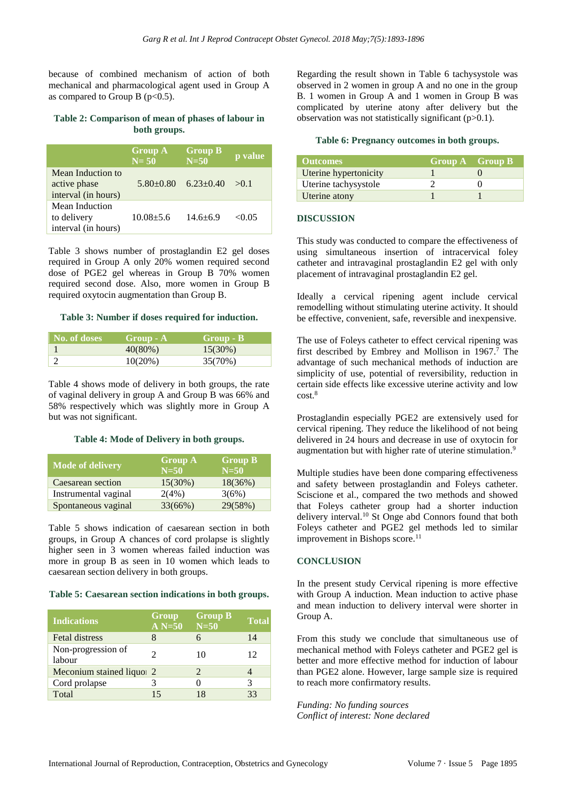because of combined mechanism of action of both mechanical and pharmacological agent used in Group A as compared to Group B ( $p<0.5$ ).

# **Table 2: Comparison of mean of phases of labour in both groups.**

|                                                          | <b>Group A</b><br>$N=50$ | <b>Group B</b><br>$N=50$ | p value |
|----------------------------------------------------------|--------------------------|--------------------------|---------|
| Mean Induction to<br>active phase<br>interval (in hours) | $5.80+0.80$              | $6.23 \pm 0.40$          | > 0.1   |
| Mean Induction<br>to delivery<br>interval (in hours)     | $10.08 + 5.6$            | $14.6 + 6.9$             | < 0.05  |

Table 3 shows number of prostaglandin E2 gel doses required in Group A only 20% women required second dose of PGE2 gel whereas in Group B 70% women required second dose. Also, more women in Group B required oxytocin augmentation than Group B.

#### **Table 3: Number if doses required for induction.**

| No. of doses | Group - A  | Group - B  |
|--------------|------------|------------|
|              | $40(80\%)$ | $15(30\%)$ |
|              | $10(20\%)$ | 35(70%)    |

Table 4 shows mode of delivery in both groups, the rate of vaginal delivery in group A and Group B was 66% and 58% respectively which was slightly more in Group A but was not significant.

#### **Table 4: Mode of Delivery in both groups.**

| <b>Mode of delivery</b> | <b>Group A</b><br>$N = 50$ | <b>Group B</b><br>$N=50$ |
|-------------------------|----------------------------|--------------------------|
| Caesarean section       | $15(30\%)$                 | 18(36%)                  |
| Instrumental vaginal    | 2(4%)                      | 3(6%)                    |
| Spontaneous vaginal     | 33(66%)                    | 29(58%)                  |

Table 5 shows indication of caesarean section in both groups, in Group A chances of cord prolapse is slightly higher seen in 3 women whereas failed induction was more in group B as seen in 10 women which leads to caesarean section delivery in both groups.

#### **Table 5: Caesarean section indications in both groups.**

| <b>Indications</b>           | Group<br>$A N=50$ | <b>Group B</b><br>$N=50$ | Total |
|------------------------------|-------------------|--------------------------|-------|
| <b>Fetal distress</b>        |                   |                          | 14    |
| Non-progression of<br>labour |                   | 10                       | 12.   |
| Meconium stained liquor 2    |                   | 2                        |       |
| Cord prolapse                |                   |                          | 3     |
| Total                        |                   |                          | 33    |

Regarding the result shown in Table 6 tachysystole was observed in 2 women in group A and no one in the group B. 1 women in Group A and 1 women in Group B was complicated by uterine atony after delivery but the observation was not statistically significant (p>0.1).

#### **Table 6: Pregnancy outcomes in both groups.**

| <b>Outcomes</b>       | <b>Group A Group B</b> |  |
|-----------------------|------------------------|--|
| Uterine hypertonicity |                        |  |
| Uterine tachysystole  |                        |  |
| Uterine atony         |                        |  |

#### **DISCUSSION**

This study was conducted to compare the effectiveness of using simultaneous insertion of intracervical foley catheter and intravaginal prostaglandin E2 gel with only placement of intravaginal prostaglandin E2 gel.

Ideally a cervical ripening agent include cervical remodelling without stimulating uterine activity. It should be effective, convenient, safe, reversible and inexpensive.

The use of Foleys catheter to effect cervical ripening was first described by Embrey and Mollison in 1967. <sup>7</sup> The advantage of such mechanical methods of induction are simplicity of use, potential of reversibility, reduction in certain side effects like excessive uterine activity and low cost. 8

Prostaglandin especially PGE2 are extensively used for cervical ripening. They reduce the likelihood of not being delivered in 24 hours and decrease in use of oxytocin for augmentation but with higher rate of uterine stimulation.<sup>9</sup>

Multiple studies have been done comparing effectiveness and safety between prostaglandin and Foleys catheter. Sciscione et al., compared the two methods and showed that Foleys catheter group had a shorter induction delivery interval.<sup>10</sup> St Onge abd Connors found that both Foleys catheter and PGE2 gel methods led to similar improvement in Bishops score.<sup>11</sup>

#### **CONCLUSION**

In the present study Cervical ripening is more effective with Group A induction. Mean induction to active phase and mean induction to delivery interval were shorter in Group A.

From this study we conclude that simultaneous use of mechanical method with Foleys catheter and PGE2 gel is better and more effective method for induction of labour than PGE2 alone. However, large sample size is required to reach more confirmatory results.

*Funding: No funding sources Conflict of interest: None declared*